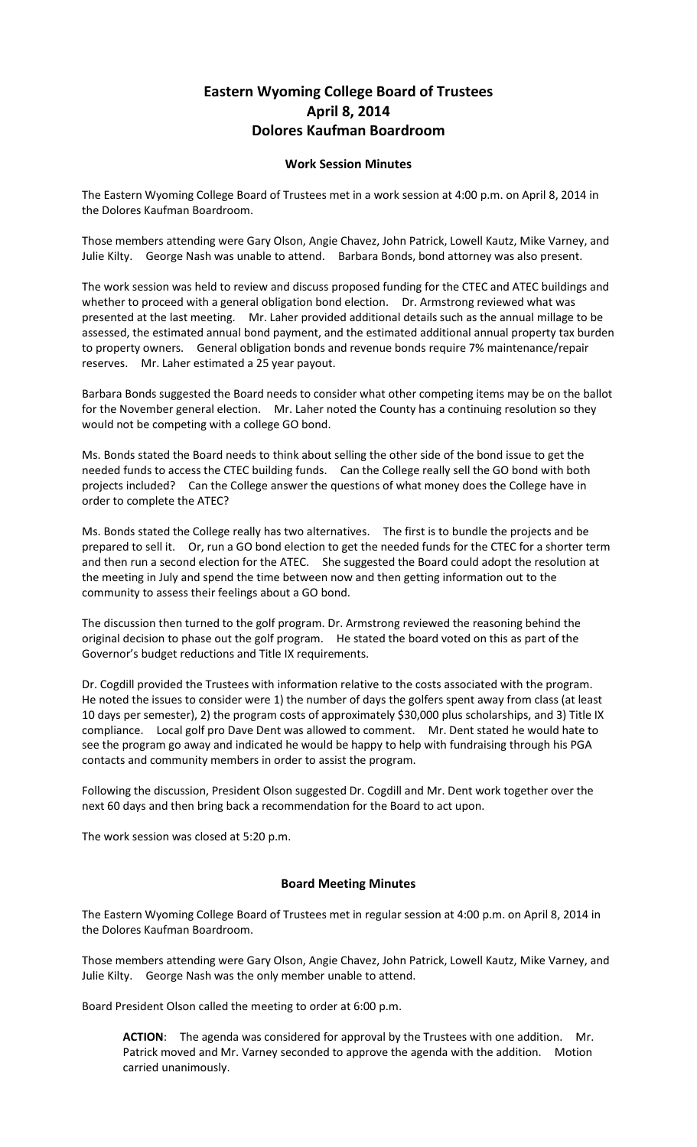## **Eastern Wyoming College Board of Trustees April 8, 2014 Dolores Kaufman Boardroom**

## **Work Session Minutes**

The Eastern Wyoming College Board of Trustees met in a work session at 4:00 p.m. on April 8, 2014 in the Dolores Kaufman Boardroom.

Those members attending were Gary Olson, Angie Chavez, John Patrick, Lowell Kautz, Mike Varney, and Julie Kilty. George Nash was unable to attend. Barbara Bonds, bond attorney was also present.

The work session was held to review and discuss proposed funding for the CTEC and ATEC buildings and whether to proceed with a general obligation bond election. Dr. Armstrong reviewed what was presented at the last meeting. Mr. Laher provided additional details such as the annual millage to be assessed, the estimated annual bond payment, and the estimated additional annual property tax burden to property owners. General obligation bonds and revenue bonds require 7% maintenance/repair reserves. Mr. Laher estimated a 25 year payout.

Barbara Bonds suggested the Board needs to consider what other competing items may be on the ballot for the November general election. Mr. Laher noted the County has a continuing resolution so they would not be competing with a college GO bond.

Ms. Bonds stated the Board needs to think about selling the other side of the bond issue to get the needed funds to access the CTEC building funds. Can the College really sell the GO bond with both projects included? Can the College answer the questions of what money does the College have in order to complete the ATEC?

Ms. Bonds stated the College really has two alternatives. The first is to bundle the projects and be prepared to sell it. Or, run a GO bond election to get the needed funds for the CTEC for a shorter term and then run a second election for the ATEC. She suggested the Board could adopt the resolution at the meeting in July and spend the time between now and then getting information out to the community to assess their feelings about a GO bond.

The discussion then turned to the golf program. Dr. Armstrong reviewed the reasoning behind the original decision to phase out the golf program. He stated the board voted on this as part of the Governor's budget reductions and Title IX requirements.

Dr. Cogdill provided the Trustees with information relative to the costs associated with the program. He noted the issues to consider were 1) the number of days the golfers spent away from class (at least 10 days per semester), 2) the program costs of approximately \$30,000 plus scholarships, and 3) Title IX compliance. Local golf pro Dave Dent was allowed to comment. Mr. Dent stated he would hate to see the program go away and indicated he would be happy to help with fundraising through his PGA contacts and community members in order to assist the program.

Following the discussion, President Olson suggested Dr. Cogdill and Mr. Dent work together over the next 60 days and then bring back a recommendation for the Board to act upon.

The work session was closed at 5:20 p.m.

## **Board Meeting Minutes**

The Eastern Wyoming College Board of Trustees met in regular session at 4:00 p.m. on April 8, 2014 in the Dolores Kaufman Boardroom.

Those members attending were Gary Olson, Angie Chavez, John Patrick, Lowell Kautz, Mike Varney, and Julie Kilty. George Nash was the only member unable to attend.

Board President Olson called the meeting to order at 6:00 p.m.

**ACTION**: The agenda was considered for approval by the Trustees with one addition. Mr. Patrick moved and Mr. Varney seconded to approve the agenda with the addition. Motion carried unanimously.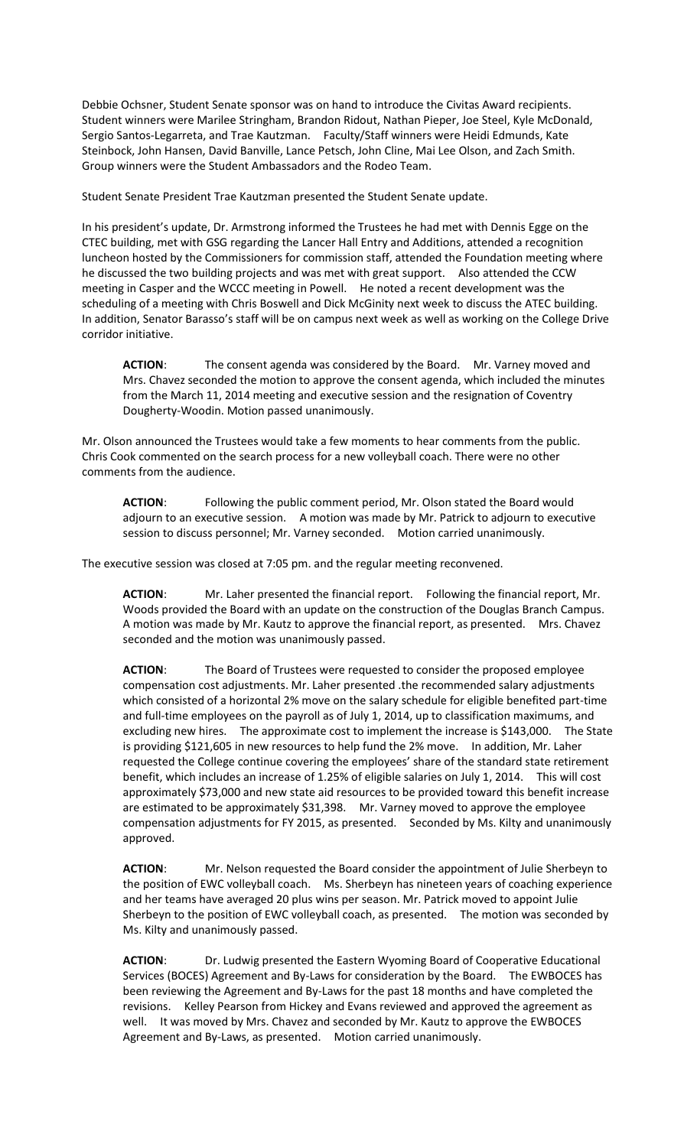Debbie Ochsner, Student Senate sponsor was on hand to introduce the Civitas Award recipients. Student winners were Marilee Stringham, Brandon Ridout, Nathan Pieper, Joe Steel, Kyle McDonald, Sergio Santos-Legarreta, and Trae Kautzman. Faculty/Staff winners were Heidi Edmunds, Kate Steinbock, John Hansen, David Banville, Lance Petsch, John Cline, Mai Lee Olson, and Zach Smith. Group winners were the Student Ambassadors and the Rodeo Team.

Student Senate President Trae Kautzman presented the Student Senate update.

In his president's update, Dr. Armstrong informed the Trustees he had met with Dennis Egge on the CTEC building, met with GSG regarding the Lancer Hall Entry and Additions, attended a recognition luncheon hosted by the Commissioners for commission staff, attended the Foundation meeting where he discussed the two building projects and was met with great support. Also attended the CCW meeting in Casper and the WCCC meeting in Powell. He noted a recent development was the scheduling of a meeting with Chris Boswell and Dick McGinity next week to discuss the ATEC building. In addition, Senator Barasso's staff will be on campus next week as well as working on the College Drive corridor initiative.

ACTION: The consent agenda was considered by the Board. Mr. Varney moved and Mrs. Chavez seconded the motion to approve the consent agenda, which included the minutes from the March 11, 2014 meeting and executive session and the resignation of Coventry Dougherty-Woodin. Motion passed unanimously.

Mr. Olson announced the Trustees would take a few moments to hear comments from the public. Chris Cook commented on the search process for a new volleyball coach. There were no other comments from the audience.

**ACTION**: Following the public comment period, Mr. Olson stated the Board would adjourn to an executive session. A motion was made by Mr. Patrick to adjourn to executive session to discuss personnel; Mr. Varney seconded. Motion carried unanimously.

The executive session was closed at 7:05 pm. and the regular meeting reconvened.

**ACTION**: Mr. Laher presented the financial report. Following the financial report, Mr. Woods provided the Board with an update on the construction of the Douglas Branch Campus. A motion was made by Mr. Kautz to approve the financial report, as presented. Mrs. Chavez seconded and the motion was unanimously passed.

**ACTION**: The Board of Trustees were requested to consider the proposed employee compensation cost adjustments. Mr. Laher presented .the recommended salary adjustments which consisted of a horizontal 2% move on the salary schedule for eligible benefited part-time and full-time employees on the payroll as of July 1, 2014, up to classification maximums, and excluding new hires. The approximate cost to implement the increase is \$143,000. The State is providing \$121,605 in new resources to help fund the 2% move. In addition, Mr. Laher requested the College continue covering the employees' share of the standard state retirement benefit, which includes an increase of 1.25% of eligible salaries on July 1, 2014. This will cost approximately \$73,000 and new state aid resources to be provided toward this benefit increase are estimated to be approximately \$31,398. Mr. Varney moved to approve the employee compensation adjustments for FY 2015, as presented. Seconded by Ms. Kilty and unanimously approved.

**ACTION**: Mr. Nelson requested the Board consider the appointment of Julie Sherbeyn to the position of EWC volleyball coach. Ms. Sherbeyn has nineteen years of coaching experience and her teams have averaged 20 plus wins per season. Mr. Patrick moved to appoint Julie Sherbeyn to the position of EWC volleyball coach, as presented. The motion was seconded by Ms. Kilty and unanimously passed.

**ACTION**: Dr. Ludwig presented the Eastern Wyoming Board of Cooperative Educational Services (BOCES) Agreement and By-Laws for consideration by the Board. The EWBOCES has been reviewing the Agreement and By-Laws for the past 18 months and have completed the revisions. Kelley Pearson from Hickey and Evans reviewed and approved the agreement as well. It was moved by Mrs. Chavez and seconded by Mr. Kautz to approve the EWBOCES Agreement and By-Laws, as presented. Motion carried unanimously.